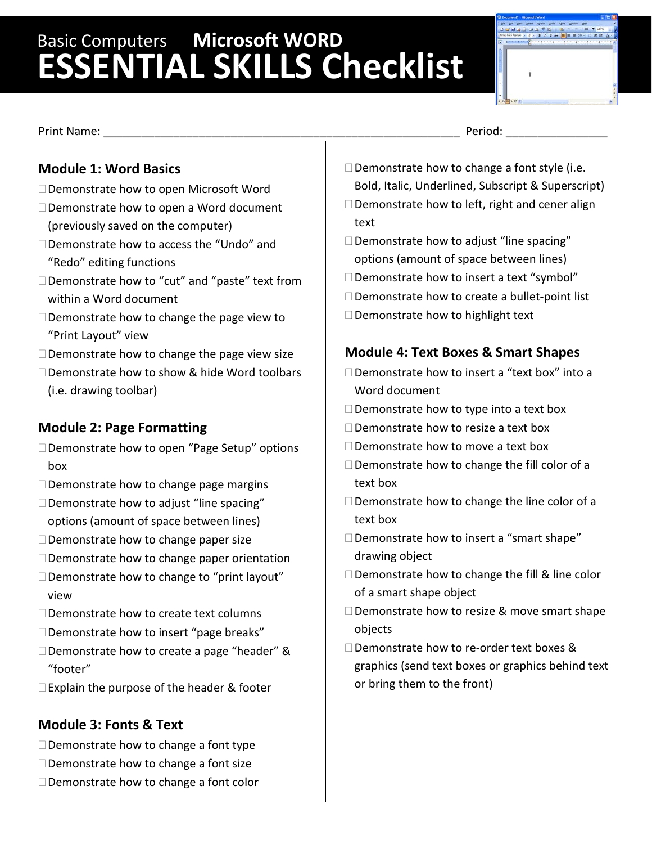# Basic Computers **Microsoft WORD ESSENTIAL SKILLS Checklist**

Print Name: \_\_\_\_\_\_\_\_\_\_\_\_\_\_\_\_\_\_\_\_\_\_\_\_\_\_\_\_\_\_\_\_\_\_\_\_\_\_\_\_\_\_\_\_\_\_\_\_\_\_\_\_\_\_\_\_ Period: \_\_\_\_\_\_\_\_\_\_\_\_\_\_\_\_

## **Module 1: Word Basics**

- □ Demonstrate how to open Microsoft Word
- □ Demonstrate how to open a Word document (previously saved on the computer)
- □ Demonstrate how to access the "Undo" and "Redo" editing functions
- □ Demonstrate how to "cut" and "paste" text from within a Word document
- $\Box$  Demonstrate how to change the page view to "Print Layout" view
- $\Box$  Demonstrate how to change the page view size
- □ Demonstrate how to show & hide Word toolbars (i.e. drawing toolbar)

## **Module 2: Page Formatting**

- □ Demonstrate how to open "Page Setup" options box
- $\square$  Demonstrate how to change page margins
- $\square$  Demonstrate how to adjust "line spacing" options (amount of space between lines)
- $\Box$  Demonstrate how to change paper size
- $\square$  Demonstrate how to change paper orientation
- $\square$  Demonstrate how to change to "print layout" view
- □ Demonstrate how to create text columns
- Demonstrate how to insert "page breaks"
- □ Demonstrate how to create a page "header" & "footer"
- □ Explain the purpose of the header & footer

## **Module 3: Fonts & Text**

- $\Box$  Demonstrate how to change a font type
- $\Box$  Demonstrate how to change a font size
- $\Box$  Demonstrate how to change a font color

- $\Box$  Demonstrate how to change a font style (i.e. Bold, Italic, Underlined, Subscript & Superscript)
- $\square$  Demonstrate how to left, right and cener align text
- $\square$  Demonstrate how to adjust "line spacing" options (amount of space between lines)
- $\square$  Demonstrate how to insert a text "symbol"
- □ Demonstrate how to create a bullet-point list
- $\Box$  Demonstrate how to highlight text

## **Module 4: Text Boxes & Smart Shapes**

- Demonstrate how to insert a "text box" into a Word document
- $\square$  Demonstrate how to type into a text box
- □ Demonstrate how to resize a text box
- □ Demonstrate how to move a text box
- $\square$  Demonstrate how to change the fill color of a text box
- $\square$  Demonstrate how to change the line color of a text box
- $\square$  Demonstrate how to insert a "smart shape" drawing object
- □ Demonstrate how to change the fill & line color of a smart shape object
- $\square$  Demonstrate how to resize & move smart shape objects
- □ Demonstrate how to re-order text boxes & graphics (send text boxes or graphics behind text or bring them to the front)